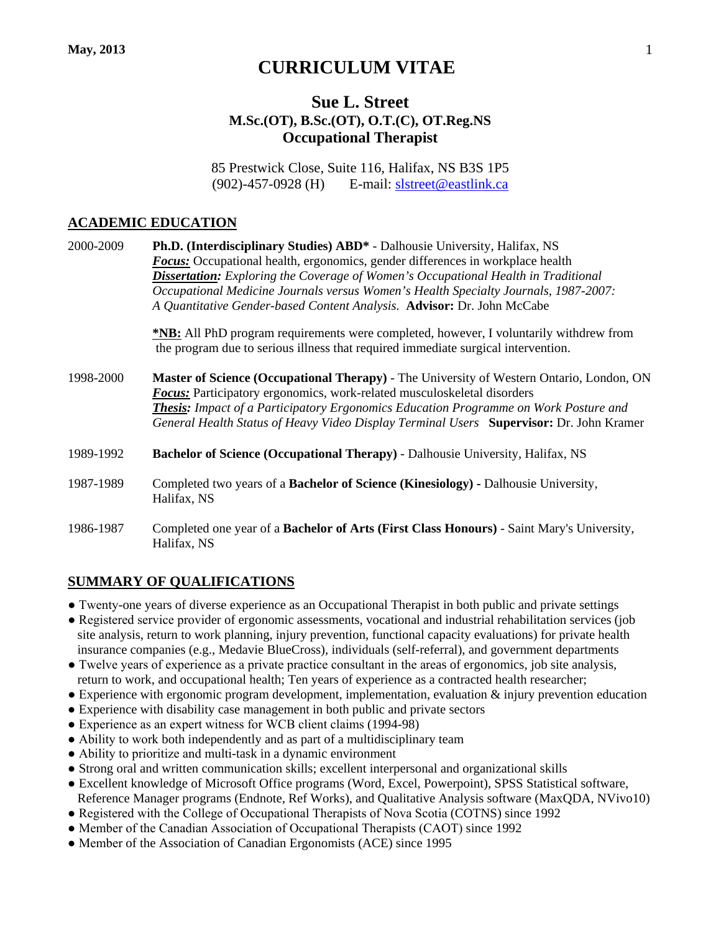# **CURRICULUM VITAE**

## **Sue L. Street M.Sc.(OT), B.Sc.(OT), O.T.(C), OT.Reg.NS Occupational Therapist**

85 Prestwick Close, Suite 116, Halifax, NS B3S 1P5 (902)-457-0928 (H) E-mail: [slstreet@eastlink.ca](mailto:slstreet@eastlink.ca)

#### **ACADEMIC EDUCATION**

| 2000-2009 | <b>Ph.D. (Interdisciplinary Studies) ABD*</b> - Dalhousie University, Halifax, NS                                                                                                      |
|-----------|----------------------------------------------------------------------------------------------------------------------------------------------------------------------------------------|
|           | <b>Focus:</b> Occupational health, ergonomics, gender differences in workplace health                                                                                                  |
|           | <b>Dissertation:</b> Exploring the Coverage of Women's Occupational Health in Traditional                                                                                              |
|           | Occupational Medicine Journals versus Women's Health Specialty Journals, 1987-2007:                                                                                                    |
|           | A Quantitative Gender-based Content Analysis. Advisor: Dr. John McCabe                                                                                                                 |
|           | <b>*NB:</b> All PhD program requirements were completed, however, I voluntarily withdrew from                                                                                          |
|           | the program due to serious illness that required immediate surgical intervention.                                                                                                      |
| 1998-2000 | Master of Science (Occupational Therapy) - The University of Western Ontario, London, ON                                                                                               |
|           | Focus: Participatory ergonomics, work-related musculoskeletal disorders                                                                                                                |
|           | <b>Thesis:</b> Impact of a Participatory Ergonomics Education Programme on Work Posture and<br>General Health Status of Heavy Video Display Terminal Users Supervisor: Dr. John Kramer |
| 1989-1992 | <b>Bachelor of Science (Occupational Therapy) - Dalhousie University, Halifax, NS</b>                                                                                                  |
| 1987-1989 | Completed two years of a <b>Bachelor of Science (Kinesiology)</b> - Dalhousie University,                                                                                              |
|           | Halifax, NS                                                                                                                                                                            |
| 1986-1987 | Completed one year of a <b>Bachelor of Arts (First Class Honours)</b> - Saint Mary's University,                                                                                       |
|           | Halifax, NS                                                                                                                                                                            |

## **SUMMARY OF QUALIFICATIONS**

- Twenty-one years of diverse experience as an Occupational Therapist in both public and private settings
- Registered service provider of ergonomic assessments, vocational and industrial rehabilitation services (job site analysis, return to work planning, injury prevention, functional capacity evaluations) for private health insurance companies (e.g., Medavie BlueCross), individuals (self-referral), and government departments
- Twelve years of experience as a private practice consultant in the areas of ergonomics, job site analysis, return to work, and occupational health; Ten years of experience as a contracted health researcher;
- Experience with ergonomic program development, implementation, evaluation & injury prevention education
- Experience with disability case management in both public and private sectors
- Experience as an expert witness for WCB client claims (1994-98)
- Ability to work both independently and as part of a multidisciplinary team
- Ability to prioritize and multi-task in a dynamic environment
- Strong oral and written communication skills; excellent interpersonal and organizational skills
- Excellent knowledge of Microsoft Office programs (Word, Excel, Powerpoint), SPSS Statistical software, Reference Manager programs (Endnote, Ref Works), and Qualitative Analysis software (MaxQDA, NVivo10)
- Registered with the College of Occupational Therapists of Nova Scotia (COTNS) since 1992
- Member of the Canadian Association of Occupational Therapists (CAOT) since 1992
- Member of the Association of Canadian Ergonomists (ACE) since 1995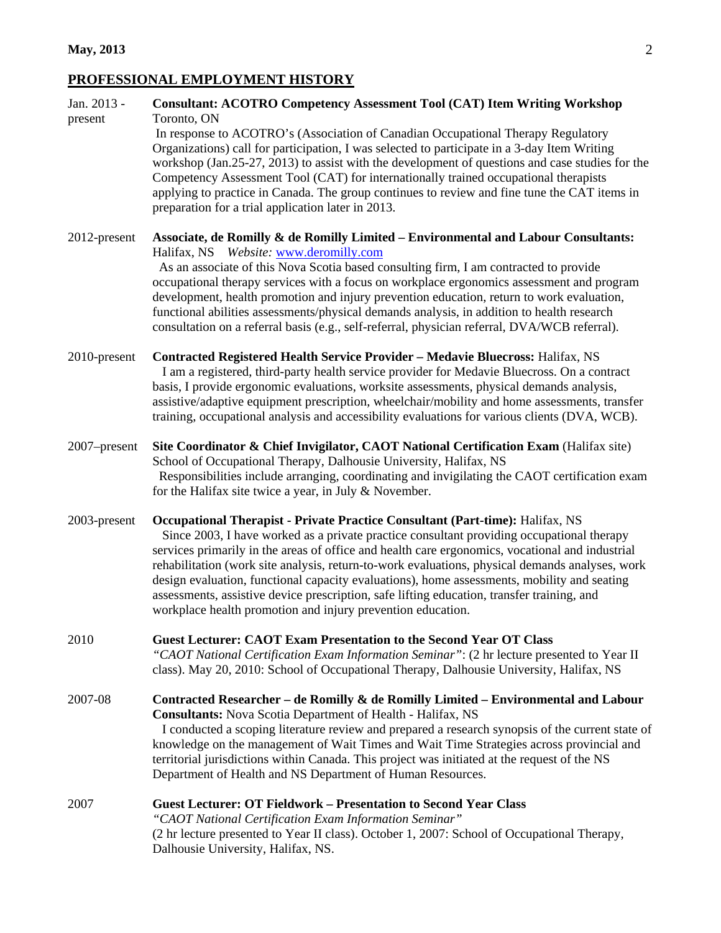## **PROFESSIONAL EMPLOYMENT HISTORY**

| Jan. 2013 -<br>present | <b>Consultant: ACOTRO Competency Assessment Tool (CAT) Item Writing Workshop</b><br>Toronto, ON<br>In response to ACOTRO's (Association of Canadian Occupational Therapy Regulatory<br>Organizations) call for participation, I was selected to participate in a 3-day Item Writing<br>workshop (Jan.25-27, 2013) to assist with the development of questions and case studies for the<br>Competency Assessment Tool (CAT) for internationally trained occupational therapists<br>applying to practice in Canada. The group continues to review and fine tune the CAT items in<br>preparation for a trial application later in 2013.         |
|------------------------|----------------------------------------------------------------------------------------------------------------------------------------------------------------------------------------------------------------------------------------------------------------------------------------------------------------------------------------------------------------------------------------------------------------------------------------------------------------------------------------------------------------------------------------------------------------------------------------------------------------------------------------------|
| 2012-present           | Associate, de Romilly & de Romilly Limited - Environmental and Labour Consultants:<br>Halifax, NS Website: www.deromilly.com<br>As an associate of this Nova Scotia based consulting firm, I am contracted to provide<br>occupational therapy services with a focus on workplace ergonomics assessment and program<br>development, health promotion and injury prevention education, return to work evaluation,<br>functional abilities assessments/physical demands analysis, in addition to health research<br>consultation on a referral basis (e.g., self-referral, physician referral, DVA/WCB referral).                               |
| 2010-present           | <b>Contracted Registered Health Service Provider - Medavie Bluecross: Halifax, NS</b><br>I am a registered, third-party health service provider for Medavie Bluecross. On a contract<br>basis, I provide ergonomic evaluations, worksite assessments, physical demands analysis,<br>assistive/adaptive equipment prescription, wheelchair/mobility and home assessments, transfer<br>training, occupational analysis and accessibility evaluations for various clients (DVA, WCB).                                                                                                                                                           |
| 2007–present           | Site Coordinator & Chief Invigilator, CAOT National Certification Exam (Halifax site)<br>School of Occupational Therapy, Dalhousie University, Halifax, NS<br>Responsibilities include arranging, coordinating and invigilating the CAOT certification exam<br>for the Halifax site twice a year, in July $&$ November.                                                                                                                                                                                                                                                                                                                      |
| 2003-present           | Occupational Therapist - Private Practice Consultant (Part-time): Halifax, NS<br>Since 2003, I have worked as a private practice consultant providing occupational therapy<br>services primarily in the areas of office and health care ergonomics, vocational and industrial<br>rehabilitation (work site analysis, return-to-work evaluations, physical demands analyses, work<br>design evaluation, functional capacity evaluations), home assessments, mobility and seating<br>assessments, assistive device prescription, safe lifting education, transfer training, and<br>workplace health promotion and injury prevention education. |
| 2010                   | <b>Guest Lecturer: CAOT Exam Presentation to the Second Year OT Class</b><br>"CAOT National Certification Exam Information Seminar": (2 hr lecture presented to Year II<br>class). May 20, 2010: School of Occupational Therapy, Dalhousie University, Halifax, NS                                                                                                                                                                                                                                                                                                                                                                           |
| 2007-08                | Contracted Researcher - de Romilly & de Romilly Limited - Environmental and Labour<br><b>Consultants:</b> Nova Scotia Department of Health - Halifax, NS<br>I conducted a scoping literature review and prepared a research synopsis of the current state of<br>knowledge on the management of Wait Times and Wait Time Strategies across provincial and<br>territorial jurisdictions within Canada. This project was initiated at the request of the NS<br>Department of Health and NS Department of Human Resources.                                                                                                                       |
| 2007                   | <b>Guest Lecturer: OT Fieldwork - Presentation to Second Year Class</b><br>"CAOT National Certification Exam Information Seminar"<br>(2 hr lecture presented to Year II class). October 1, 2007: School of Occupational Therapy,<br>Dalhousie University, Halifax, NS.                                                                                                                                                                                                                                                                                                                                                                       |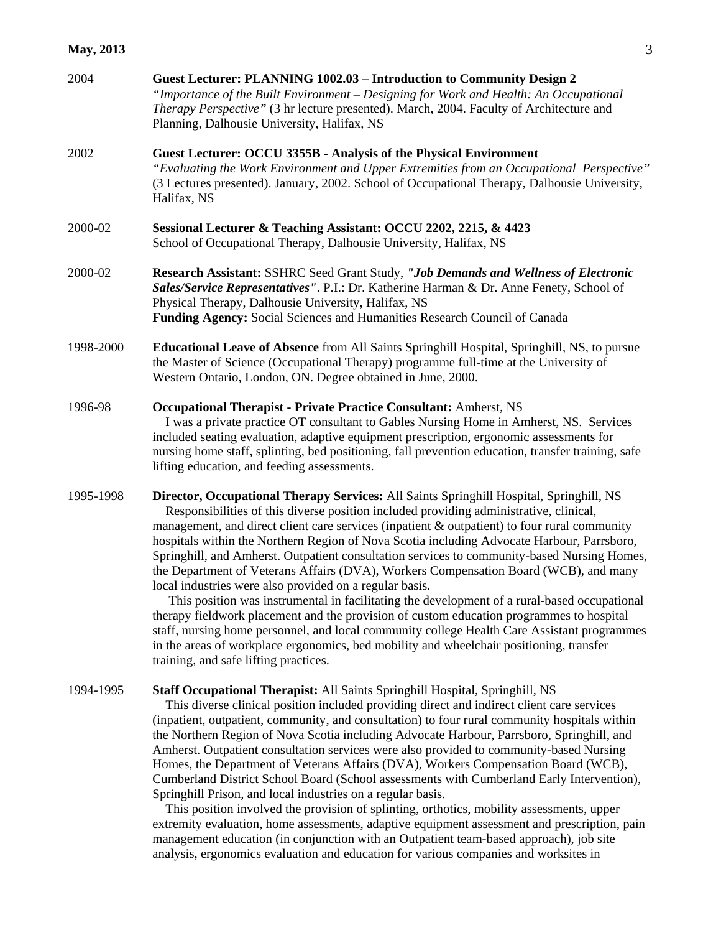| 2004      | Guest Lecturer: PLANNING 1002.03 - Introduction to Community Design 2<br>"Importance of the Built Environment – Designing for Work and Health: An Occupational<br>Therapy Perspective" (3 hr lecture presented). March, 2004. Faculty of Architecture and<br>Planning, Dalhousie University, Halifax, NS                                                                                                                                                                                                                                                                                                                                                                                                                                                                                                                                                                                                                                                                                                                                                         |
|-----------|------------------------------------------------------------------------------------------------------------------------------------------------------------------------------------------------------------------------------------------------------------------------------------------------------------------------------------------------------------------------------------------------------------------------------------------------------------------------------------------------------------------------------------------------------------------------------------------------------------------------------------------------------------------------------------------------------------------------------------------------------------------------------------------------------------------------------------------------------------------------------------------------------------------------------------------------------------------------------------------------------------------------------------------------------------------|
| 2002      | Guest Lecturer: OCCU 3355B - Analysis of the Physical Environment<br>"Evaluating the Work Environment and Upper Extremities from an Occupational Perspective"<br>(3 Lectures presented). January, 2002. School of Occupational Therapy, Dalhousie University,<br>Halifax, NS                                                                                                                                                                                                                                                                                                                                                                                                                                                                                                                                                                                                                                                                                                                                                                                     |
| 2000-02   | Sessional Lecturer & Teaching Assistant: OCCU 2202, 2215, & 4423<br>School of Occupational Therapy, Dalhousie University, Halifax, NS                                                                                                                                                                                                                                                                                                                                                                                                                                                                                                                                                                                                                                                                                                                                                                                                                                                                                                                            |
| 2000-02   | Research Assistant: SSHRC Seed Grant Study, "Job Demands and Wellness of Electronic<br>Sales/Service Representatives". P.I.: Dr. Katherine Harman & Dr. Anne Fenety, School of<br>Physical Therapy, Dalhousie University, Halifax, NS<br>Funding Agency: Social Sciences and Humanities Research Council of Canada                                                                                                                                                                                                                                                                                                                                                                                                                                                                                                                                                                                                                                                                                                                                               |
| 1998-2000 | <b>Educational Leave of Absence</b> from All Saints Springhill Hospital, Springhill, NS, to pursue<br>the Master of Science (Occupational Therapy) programme full-time at the University of<br>Western Ontario, London, ON. Degree obtained in June, 2000.                                                                                                                                                                                                                                                                                                                                                                                                                                                                                                                                                                                                                                                                                                                                                                                                       |
| 1996-98   | <b>Occupational Therapist - Private Practice Consultant: Amherst, NS</b><br>I was a private practice OT consultant to Gables Nursing Home in Amherst, NS. Services<br>included seating evaluation, adaptive equipment prescription, ergonomic assessments for<br>nursing home staff, splinting, bed positioning, fall prevention education, transfer training, safe<br>lifting education, and feeding assessments.                                                                                                                                                                                                                                                                                                                                                                                                                                                                                                                                                                                                                                               |
| 1995-1998 | Director, Occupational Therapy Services: All Saints Springhill Hospital, Springhill, NS<br>Responsibilities of this diverse position included providing administrative, clinical,<br>management, and direct client care services (inpatient & outpatient) to four rural community<br>hospitals within the Northern Region of Nova Scotia including Advocate Harbour, Parrsboro,<br>Springhill, and Amherst. Outpatient consultation services to community-based Nursing Homes,<br>the Department of Veterans Affairs (DVA), Workers Compensation Board (WCB), and many<br>local industries were also provided on a regular basis.<br>This position was instrumental in facilitating the development of a rural-based occupational<br>therapy fieldwork placement and the provision of custom education programmes to hospital<br>staff, nursing home personnel, and local community college Health Care Assistant programmes<br>in the areas of workplace ergonomics, bed mobility and wheelchair positioning, transfer<br>training, and safe lifting practices. |
| 1994-1995 | Staff Occupational Therapist: All Saints Springhill Hospital, Springhill, NS<br>This diverse clinical position included providing direct and indirect client care services<br>(inpatient, outpatient, community, and consultation) to four rural community hospitals within<br>the Northern Region of Nova Scotia including Advocate Harbour, Parrsboro, Springhill, and<br>Amherst. Outpatient consultation services were also provided to community-based Nursing<br>Homes, the Department of Veterans Affairs (DVA), Workers Compensation Board (WCB),<br>Cumberland District School Board (School assessments with Cumberland Early Intervention),                                                                                                                                                                                                                                                                                                                                                                                                           |

Springhill Prison, and local industries on a regular basis.

 This position involved the provision of splinting, orthotics, mobility assessments, upper extremity evaluation, home assessments, adaptive equipment assessment and prescription, pain management education (in conjunction with an Outpatient team-based approach), job site analysis, ergonomics evaluation and education for various companies and worksites in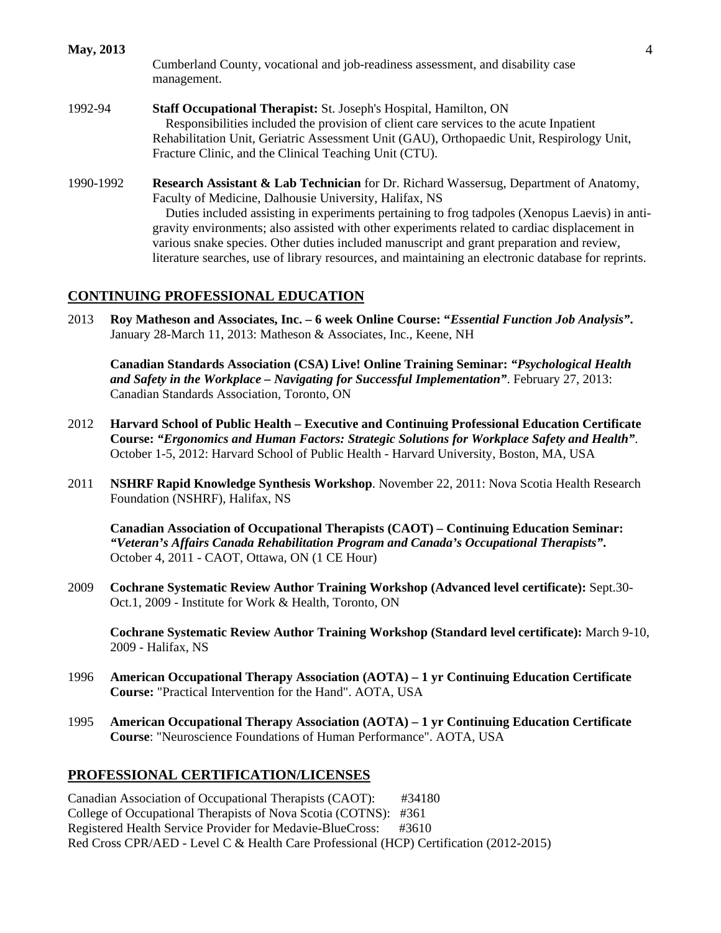**May, 2013** 4

Cumberland County, vocational and job-readiness assessment, and disability case management.

- 1992-94 **Staff Occupational Therapist:** St. Joseph's Hospital, Hamilton, ON Responsibilities included the provision of client care services to the acute Inpatient Rehabilitation Unit, Geriatric Assessment Unit (GAU), Orthopaedic Unit, Respirology Unit, Fracture Clinic, and the Clinical Teaching Unit (CTU).
- 1990-1992 **Research Assistant & Lab Technician** for Dr. Richard Wassersug, Department of Anatomy, Faculty of Medicine, Dalhousie University, Halifax, NS

 Duties included assisting in experiments pertaining to frog tadpoles (Xenopus Laevis) in antigravity environments; also assisted with other experiments related to cardiac displacement in various snake species. Other duties included manuscript and grant preparation and review, literature searches, use of library resources, and maintaining an electronic database for reprints.

#### **CONTINUING PROFESSIONAL EDUCATION**

2013 **Roy Matheson and Associates, Inc. – 6 week Online Course: "***Essential Function Job Analysis"***.** January 28-March 11, 2013: Matheson & Associates, Inc., Keene, NH

**Canadian Standards Association (CSA) Live! Online Training Seminar:** *"Psychological Health and Safety in the Workplace – Navigating for Successful Implementation"*. February 27, 2013: Canadian Standards Association, Toronto, ON

- 2012 **Harvard School of Public Health – Executive and Continuing Professional Education Certificate Course:** *"Ergonomics and Human Factors: Strategic Solutions for Workplace Safety and Health"*. October 1-5, 2012: Harvard School of Public Health - Harvard University, Boston, MA, USA
- 2011 **NSHRF Rapid Knowledge Synthesis Workshop**. November 22, 2011: Nova Scotia Health Research Foundation (NSHRF), Halifax, NS

**Canadian Association of Occupational Therapists (CAOT) – Continuing Education Seminar:** *"Veteran's Affairs Canada Rehabilitation Program and Canada's Occupational Therapists"***.** October 4, 2011 - CAOT, Ottawa, ON (1 CE Hour)

2009 **Cochrane Systematic Review Author Training Workshop (Advanced level certificate):** Sept.30- Oct.1, 2009 - Institute for Work & Health, Toronto, ON

**Cochrane Systematic Review Author Training Workshop (Standard level certificate):** March 9-10, 2009 - Halifax, NS

- 1996 **American Occupational Therapy Association (AOTA) – 1 yr Continuing Education Certificate Course:** "Practical Intervention for the Hand". AOTA, USA
- 1995 **American Occupational Therapy Association (AOTA) – 1 yr Continuing Education Certificate Course**: "Neuroscience Foundations of Human Performance". AOTA, USA

#### **PROFESSIONAL CERTIFICATION/LICENSES**

Canadian Association of Occupational Therapists (CAOT): #34180 College of Occupational Therapists of Nova Scotia (COTNS): #361 Registered Health Service Provider for Medavie-BlueCross: #3610 Red Cross CPR/AED - Level C & Health Care Professional (HCP) Certification (2012-2015)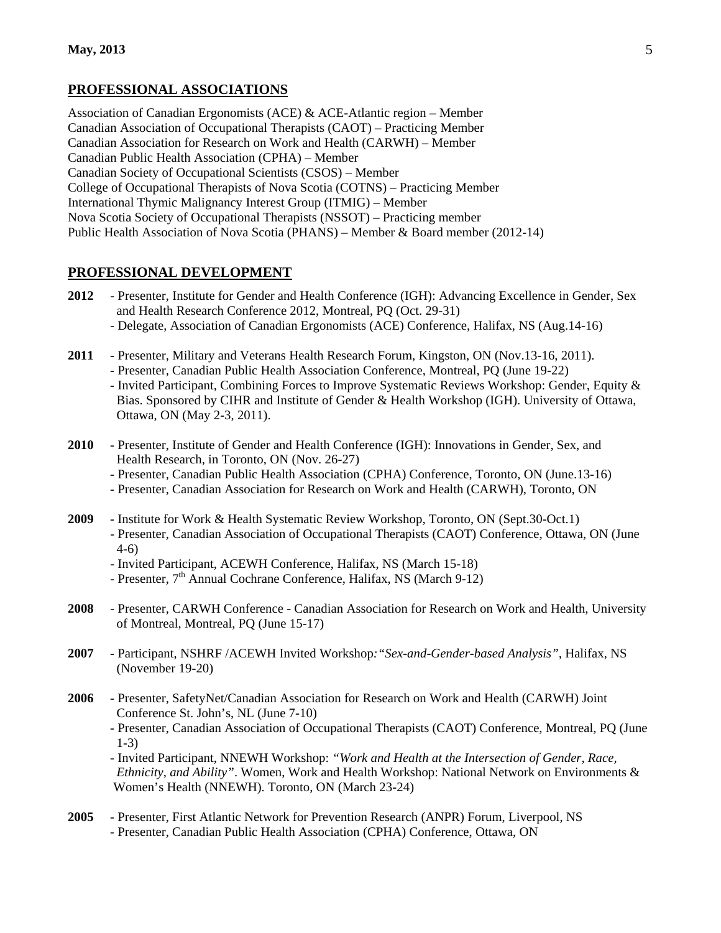## **PROFESSIONAL ASSOCIATIONS**

Association of Canadian Ergonomists (ACE) & ACE-Atlantic region – Member Canadian Association of Occupational Therapists (CAOT) – Practicing Member Canadian Association for Research on Work and Health (CARWH) – Member Canadian Public Health Association (CPHA) – Member Canadian Society of Occupational Scientists (CSOS) – Member College of Occupational Therapists of Nova Scotia (COTNS) – Practicing Member International Thymic Malignancy Interest Group (ITMIG) – Member Nova Scotia Society of Occupational Therapists (NSSOT) – Practicing member Public Health Association of Nova Scotia (PHANS) – Member & Board member (2012-14)

### **PROFESSIONAL DEVELOPMENT**

- **2012** Presenter, Institute for Gender and Health Conference (IGH): Advancing Excellence in Gender, Sex and Health Research Conference 2012, Montreal, PQ (Oct. 29-31)
	- Delegate, Association of Canadian Ergonomists (ACE) Conference, Halifax, NS (Aug.14-16)
- **2011** Presenter, Military and Veterans Health Research Forum, Kingston, ON (Nov.13-16, 2011).
	- Presenter, Canadian Public Health Association Conference, Montreal, PQ (June 19-22) - Invited Participant, Combining Forces to Improve Systematic Reviews Workshop: Gender, Equity & Bias. Sponsored by CIHR and Institute of Gender & Health Workshop (IGH). University of Ottawa, Ottawa, ON (May 2-3, 2011).
- **2010** Presenter, Institute of Gender and Health Conference (IGH): Innovations in Gender, Sex, and Health Research, in Toronto, ON (Nov. 26-27)
	- Presenter, Canadian Public Health Association (CPHA) Conference, Toronto, ON (June.13-16)
	- Presenter, Canadian Association for Research on Work and Health (CARWH), Toronto, ON
- **2009** Institute for Work & Health Systematic Review Workshop, Toronto, ON (Sept.30-Oct.1) - Presenter, Canadian Association of Occupational Therapists (CAOT) Conference, Ottawa, ON (June 4-6)
	- Invited Participant, ACEWH Conference, Halifax, NS (March 15-18)
	- Presenter,  $7<sup>th</sup>$  Annual Cochrane Conference, Halifax, NS (March 9-12)
- **2008** Presenter, CARWH Conference Canadian Association for Research on Work and Health, University of Montreal, Montreal, PQ (June 15-17)
- **2007** Participant, NSHRF /ACEWH Invited Workshop*:"Sex-and-Gender-based Analysis",* Halifax, NS (November 19-20)
- **2006** Presenter, SafetyNet/Canadian Association for Research on Work and Health (CARWH) Joint Conference St. John's, NL (June 7-10)
	- Presenter, Canadian Association of Occupational Therapists (CAOT) Conference, Montreal, PQ (June 1-3)
	- Invited Participant, NNEWH Workshop: *"Work and Health at the Intersection of Gender, Race, Ethnicity, and Ability"*. Women, Work and Health Workshop: National Network on Environments & Women's Health (NNEWH). Toronto, ON (March 23-24)
- **2005** Presenter, First Atlantic Network for Prevention Research (ANPR) Forum, Liverpool, NS - Presenter, Canadian Public Health Association (CPHA) Conference, Ottawa, ON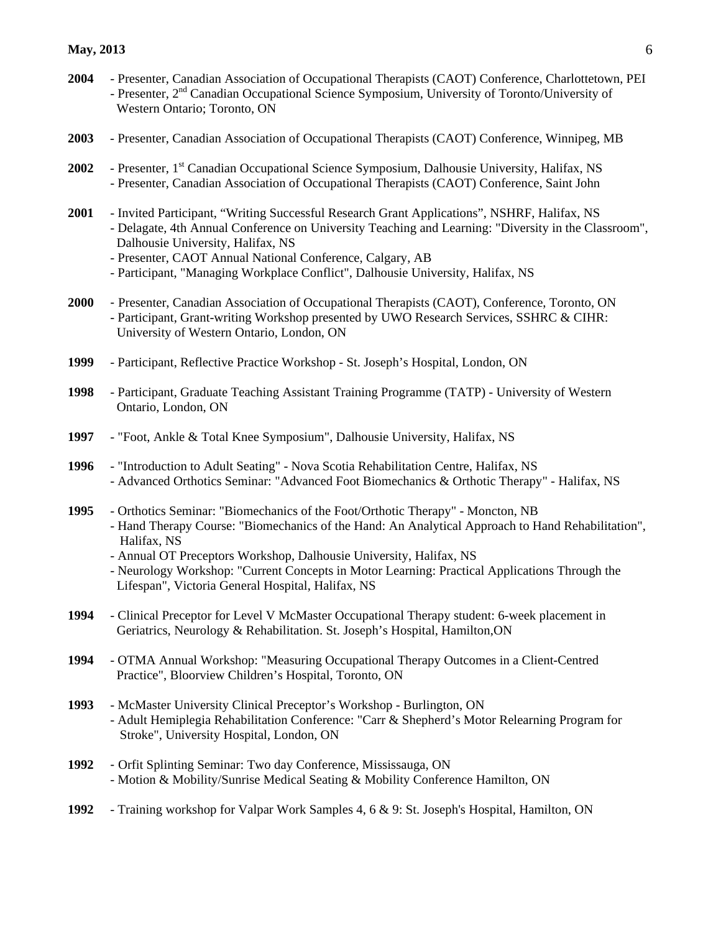- **2004** Presenter, Canadian Association of Occupational Therapists (CAOT) Conference, Charlottetown, PEI - Presenter, 2<sup>nd</sup> Canadian Occupational Science Symposium, University of Toronto/University of Western Ontario; Toronto, ON
- **2003** Presenter, Canadian Association of Occupational Therapists (CAOT) Conference, Winnipeg, MB
- 2002 Presenter, 1<sup>st</sup> Canadian Occupational Science Symposium, Dalhousie University, Halifax, NS - Presenter, Canadian Association of Occupational Therapists (CAOT) Conference, Saint John
- **2001** Invited Participant, "Writing Successful Research Grant Applications", NSHRF, Halifax, NS - Delagate, 4th Annual Conference on University Teaching and Learning: "Diversity in the Classroom", Dalhousie University, Halifax, NS
	- Presenter, CAOT Annual National Conference, Calgary, AB
	- Participant, "Managing Workplace Conflict", Dalhousie University, Halifax, NS
- **2000** Presenter, Canadian Association of Occupational Therapists (CAOT), Conference, Toronto, ON - Participant, Grant-writing Workshop presented by UWO Research Services, SSHRC & CIHR: University of Western Ontario, London, ON
- **1999** Participant, Reflective Practice Workshop St. Joseph's Hospital, London, ON
- **1998** Participant, Graduate Teaching Assistant Training Programme (TATP) University of Western Ontario, London, ON
- **1997** "Foot, Ankle & Total Knee Symposium", Dalhousie University, Halifax, NS
- **1996** "Introduction to Adult Seating" Nova Scotia Rehabilitation Centre, Halifax, NS - Advanced Orthotics Seminar: "Advanced Foot Biomechanics & Orthotic Therapy" - Halifax, NS
- **1995** Orthotics Seminar: "Biomechanics of the Foot/Orthotic Therapy" Moncton, NB - Hand Therapy Course: "Biomechanics of the Hand: An Analytical Approach to Hand Rehabilitation", Halifax, NS
	- Annual OT Preceptors Workshop, Dalhousie University, Halifax, NS
	- Neurology Workshop: "Current Concepts in Motor Learning: Practical Applications Through the Lifespan", Victoria General Hospital, Halifax, NS
- **1994** Clinical Preceptor for Level V McMaster Occupational Therapy student: 6-week placement in Geriatrics, Neurology & Rehabilitation. St. Joseph's Hospital, Hamilton,ON
- **1994** OTMA Annual Workshop: "Measuring Occupational Therapy Outcomes in a Client-Centred Practice", Bloorview Children's Hospital, Toronto, ON
- **1993** McMaster University Clinical Preceptor's Workshop Burlington, ON - Adult Hemiplegia Rehabilitation Conference: "Carr & Shepherd's Motor Relearning Program for Stroke", University Hospital, London, ON
- **1992** Orfit Splinting Seminar: Two day Conference, Mississauga, ON - Motion & Mobility/Sunrise Medical Seating & Mobility Conference Hamilton, ON
- **1992** Training workshop for Valpar Work Samples 4, 6 & 9: St. Joseph's Hospital, Hamilton, ON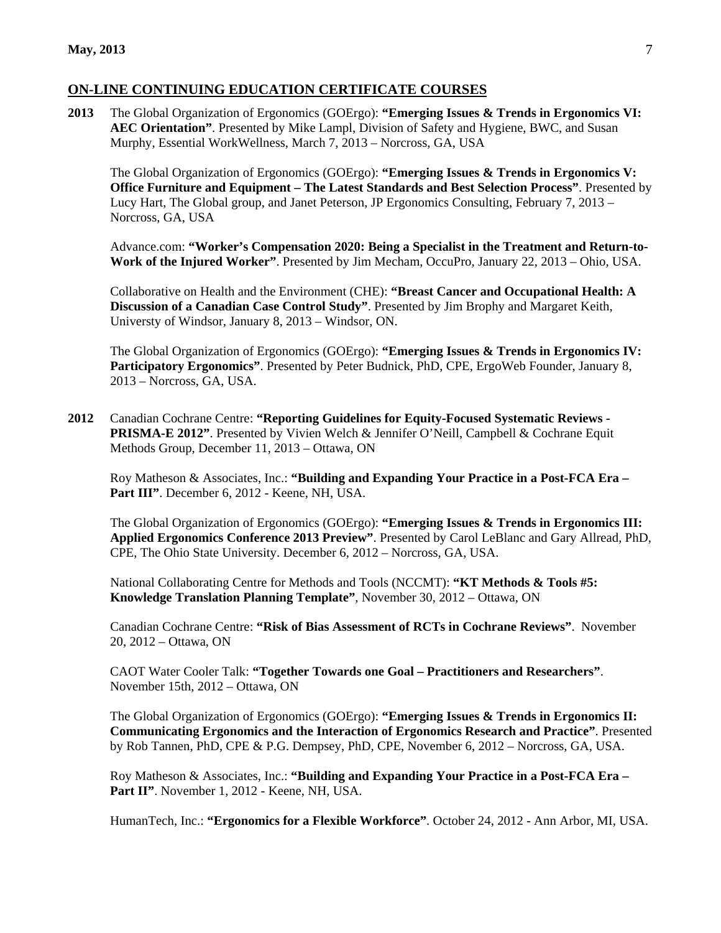#### **ON-LINE CONTINUING EDUCATION CERTIFICATE COURSES**

**2013** The Global Organization of Ergonomics (GOErgo): **"Emerging Issues & Trends in Ergonomics VI: AEC Orientation"**. Presented by Mike Lampl, Division of Safety and Hygiene, BWC, and Susan Murphy, Essential WorkWellness, March 7, 2013 – Norcross, GA, USA

The Global Organization of Ergonomics (GOErgo): **"Emerging Issues & Trends in Ergonomics V: Office Furniture and Equipment – The Latest Standards and Best Selection Process"**. Presented by Lucy Hart, The Global group, and Janet Peterson, JP Ergonomics Consulting, February 7, 2013 – Norcross, GA, USA

Advance.com: **"Worker's Compensation 2020: Being a Specialist in the Treatment and Return-to-Work of the Injured Worker"**. Presented by Jim Mecham, OccuPro, January 22, 2013 – Ohio, USA.

Collaborative on Health and the Environment (CHE): **"Breast Cancer and Occupational Health: A Discussion of a Canadian Case Control Study"**. Presented by Jim Brophy and Margaret Keith, Universty of Windsor, January 8, 2013 – Windsor, ON.

The Global Organization of Ergonomics (GOErgo): **"Emerging Issues & Trends in Ergonomics IV: Participatory Ergonomics"**. Presented by Peter Budnick, PhD, CPE, ErgoWeb Founder, January 8, 2013 – Norcross, GA, USA.

**2012** Canadian Cochrane Centre: **"Reporting Guidelines for Equity-Focused Systematic Reviews - PRISMA-E 2012"**. Presented by Vivien Welch & Jennifer O'Neill, Campbell & Cochrane Equit Methods Group, December 11, 2013 – Ottawa, ON

Roy Matheson & Associates, Inc.: **"Building and Expanding Your Practice in a Post-FCA Era –** Part III". December 6, 2012 - Keene, NH, USA.

The Global Organization of Ergonomics (GOErgo): **"Emerging Issues & Trends in Ergonomics III: Applied Ergonomics Conference 2013 Preview"**. Presented by Carol LeBlanc and Gary Allread, PhD, CPE, The Ohio State University. December 6, 2012 – Norcross, GA, USA.

National Collaborating Centre for Methods and Tools (NCCMT): **"KT Methods & Tools #5: Knowledge Translation Planning Template"**, November 30, 2012 – Ottawa, ON

Canadian Cochrane Centre: **"Risk of Bias Assessment of RCTs in Cochrane Reviews"**. November 20, 2012 – Ottawa, ON

CAOT Water Cooler Talk: **"Together Towards one Goal – Practitioners and Researchers"**. November 15th, 2012 – Ottawa, ON

The Global Organization of Ergonomics (GOErgo): **"Emerging Issues & Trends in Ergonomics II: Communicating Ergonomics and the Interaction of Ergonomics Research and Practice"**. Presented by Rob Tannen, PhD, CPE & P.G. Dempsey, PhD, CPE, November 6, 2012 – Norcross, GA, USA.

Roy Matheson & Associates, Inc.: **"Building and Expanding Your Practice in a Post-FCA Era –** Part II". November 1, 2012 - Keene, NH, USA.

HumanTech, Inc.: **"Ergonomics for a Flexible Workforce"**. October 24, 2012 - Ann Arbor, MI, USA.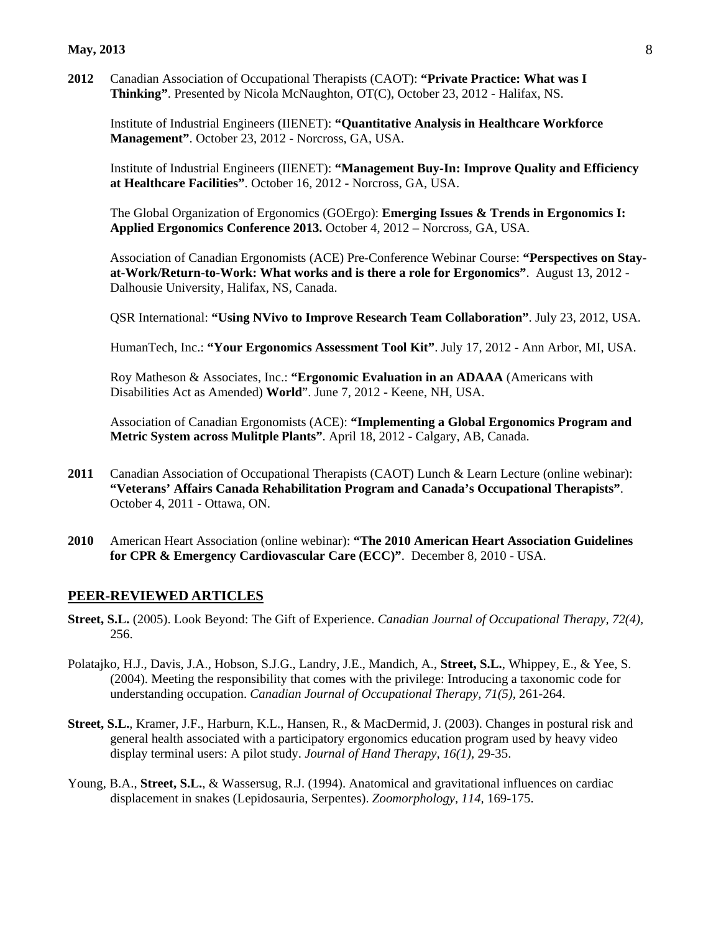#### **May, 2013** 8

**2012** Canadian Association of Occupational Therapists (CAOT): **"Private Practice: What was I Thinking"**. Presented by Nicola McNaughton, OT(C), October 23, 2012 - Halifax, NS.

Institute of Industrial Engineers (IIENET): **"Quantitative Analysis in Healthcare Workforce Management"**. October 23, 2012 - Norcross, GA, USA.

Institute of Industrial Engineers (IIENET): **"Management Buy-In: Improve Quality and Efficiency at Healthcare Facilities"**. October 16, 2012 - Norcross, GA, USA.

The Global Organization of Ergonomics (GOErgo): **Emerging Issues & Trends in Ergonomics I: Applied Ergonomics Conference 2013.** October 4, 2012 – Norcross, GA, USA.

Association of Canadian Ergonomists (ACE) Pre-Conference Webinar Course: **"Perspectives on Stayat-Work/Return-to-Work: What works and is there a role for Ergonomics"**. August 13, 2012 - Dalhousie University, Halifax, NS, Canada.

QSR International: **"Using NVivo to Improve Research Team Collaboration"**. July 23, 2012, USA.

HumanTech, Inc.: **"Your Ergonomics Assessment Tool Kit"**. July 17, 2012 - Ann Arbor, MI, USA.

Roy Matheson & Associates, Inc.: **"Ergonomic Evaluation in an ADAAA** (Americans with Disabilities Act as Amended) **World**". June 7, 2012 - Keene, NH, USA.

Association of Canadian Ergonomists (ACE): **"Implementing a Global Ergonomics Program and Metric System across Mulitple Plants"**. April 18, 2012 - Calgary, AB, Canada.

- **2011** Canadian Association of Occupational Therapists (CAOT) Lunch & Learn Lecture (online webinar): **"Veterans' Affairs Canada Rehabilitation Program and Canada's Occupational Therapists"**. October 4, 2011 - Ottawa, ON.
- **2010** American Heart Association (online webinar): **"The 2010 American Heart Association Guidelines for CPR & Emergency Cardiovascular Care (ECC)"**. December 8, 2010 - USA.

#### **PEER-REVIEWED ARTICLES**

- **Street, S.L.** (2005). Look Beyond: The Gift of Experience. *Canadian Journal of Occupational Therapy, 72(4),*  256.
- Polatajko, H.J., Davis, J.A., Hobson, S.J.G., Landry, J.E., Mandich, A., **Street, S.L.**, Whippey, E., & Yee, S. (2004). Meeting the responsibility that comes with the privilege: Introducing a taxonomic code for understanding occupation. *Canadian Journal of Occupational Therapy, 71(5),* 261-264.
- **Street, S.L.**, Kramer, J.F., Harburn, K.L., Hansen, R., & MacDermid, J. (2003). Changes in postural risk and general health associated with a participatory ergonomics education program used by heavy video display terminal users: A pilot study. *Journal of Hand Therapy, 16(1),* 29-35.
- Young, B.A., **Street, S.L.**, & Wassersug, R.J. (1994). Anatomical and gravitational influences on cardiac displacement in snakes (Lepidosauria, Serpentes). *Zoomorphology, 114,* 169-175.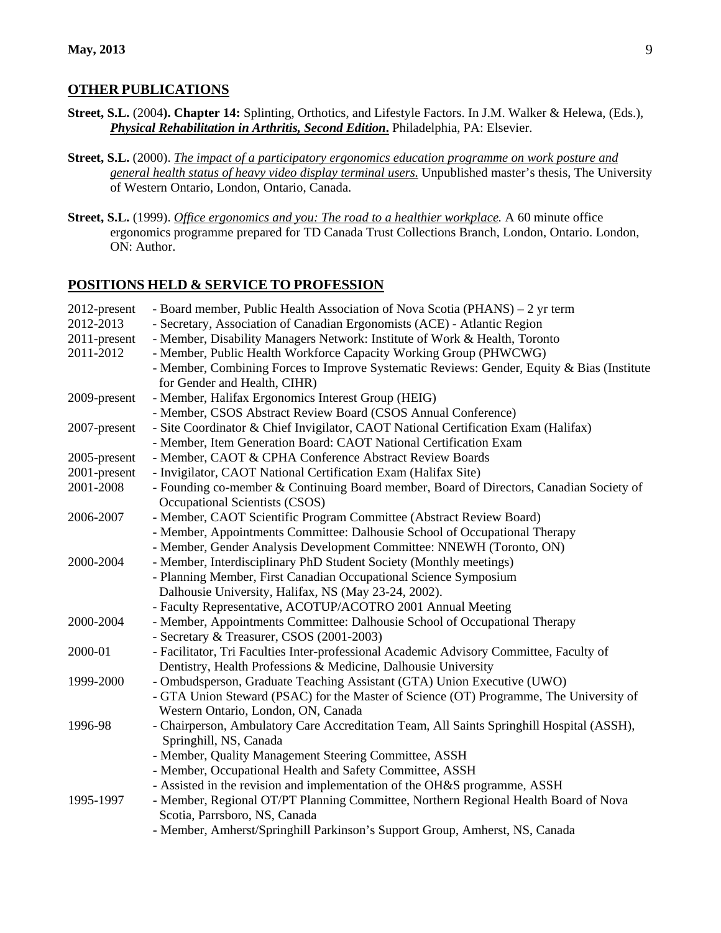#### **OTHER PUBLICATIONS**

- **Street, S.L.** (2004**). Chapter 14:** Splinting, Orthotics, and Lifestyle Factors. In J.M. Walker & Helewa, (Eds.), *Physical Rehabilitation in Arthritis, Second Edition***.** Philadelphia, PA: Elsevier.
- **Street, S.L.** (2000). *The impact of a participatory ergonomics education programme on work posture and general health status of heavy video display terminal users.* Unpublished master's thesis, The University of Western Ontario, London, Ontario, Canada.
- **Street, S.L.** (1999). *Office ergonomics and you: The road to a healthier workplace .* A 60 minute office ergonomics programme prepared for TD Canada Trust Collections Branch, London, Ontario. London, ON: Author.

#### **POSITIONS HELD & SERVICE TO PROFESSION**

| 2012-present | - Board member, Public Health Association of Nova Scotia (PHANS) – 2 yr term               |
|--------------|--------------------------------------------------------------------------------------------|
| 2012-2013    | - Secretary, Association of Canadian Ergonomists (ACE) - Atlantic Region                   |
| 2011-present | - Member, Disability Managers Network: Institute of Work & Health, Toronto                 |
| 2011-2012    | - Member, Public Health Workforce Capacity Working Group (PHWCWG)                          |
|              | - Member, Combining Forces to Improve Systematic Reviews: Gender, Equity & Bias (Institute |
|              | for Gender and Health, CIHR)                                                               |
| 2009-present | - Member, Halifax Ergonomics Interest Group (HEIG)                                         |
|              | - Member, CSOS Abstract Review Board (CSOS Annual Conference)                              |
| 2007-present | - Site Coordinator & Chief Invigilator, CAOT National Certification Exam (Halifax)         |
|              | - Member, Item Generation Board: CAOT National Certification Exam                          |
| 2005-present | - Member, CAOT & CPHA Conference Abstract Review Boards                                    |
| 2001-present | - Invigilator, CAOT National Certification Exam (Halifax Site)                             |
| 2001-2008    | - Founding co-member & Continuing Board member, Board of Directors, Canadian Society of    |
|              | Occupational Scientists (CSOS)                                                             |
| 2006-2007    | - Member, CAOT Scientific Program Committee (Abstract Review Board)                        |
|              | - Member, Appointments Committee: Dalhousie School of Occupational Therapy                 |
|              | - Member, Gender Analysis Development Committee: NNEWH (Toronto, ON)                       |
| 2000-2004    | - Member, Interdisciplinary PhD Student Society (Monthly meetings)                         |
|              | - Planning Member, First Canadian Occupational Science Symposium                           |
|              | Dalhousie University, Halifax, NS (May 23-24, 2002).                                       |
|              | - Faculty Representative, ACOTUP/ACOTRO 2001 Annual Meeting                                |
| 2000-2004    | - Member, Appointments Committee: Dalhousie School of Occupational Therapy                 |
|              | - Secretary & Treasurer, CSOS (2001-2003)                                                  |
| 2000-01      | - Facilitator, Tri Faculties Inter-professional Academic Advisory Committee, Faculty of    |
|              | Dentistry, Health Professions & Medicine, Dalhousie University                             |
| 1999-2000    | - Ombudsperson, Graduate Teaching Assistant (GTA) Union Executive (UWO)                    |
|              | - GTA Union Steward (PSAC) for the Master of Science (OT) Programme, The University of     |
|              | Western Ontario, London, ON, Canada                                                        |
| 1996-98      | - Chairperson, Ambulatory Care Accreditation Team, All Saints Springhill Hospital (ASSH),  |
|              | Springhill, NS, Canada                                                                     |
|              | - Member, Quality Management Steering Committee, ASSH                                      |
|              | - Member, Occupational Health and Safety Committee, ASSH                                   |
|              | - Assisted in the revision and implementation of the OH&S programme, ASSH                  |
| 1995-1997    | - Member, Regional OT/PT Planning Committee, Northern Regional Health Board of Nova        |
|              | Scotia, Parrsboro, NS, Canada                                                              |
|              | - Member, Amherst/Springhill Parkinson's Support Group, Amherst, NS, Canada                |